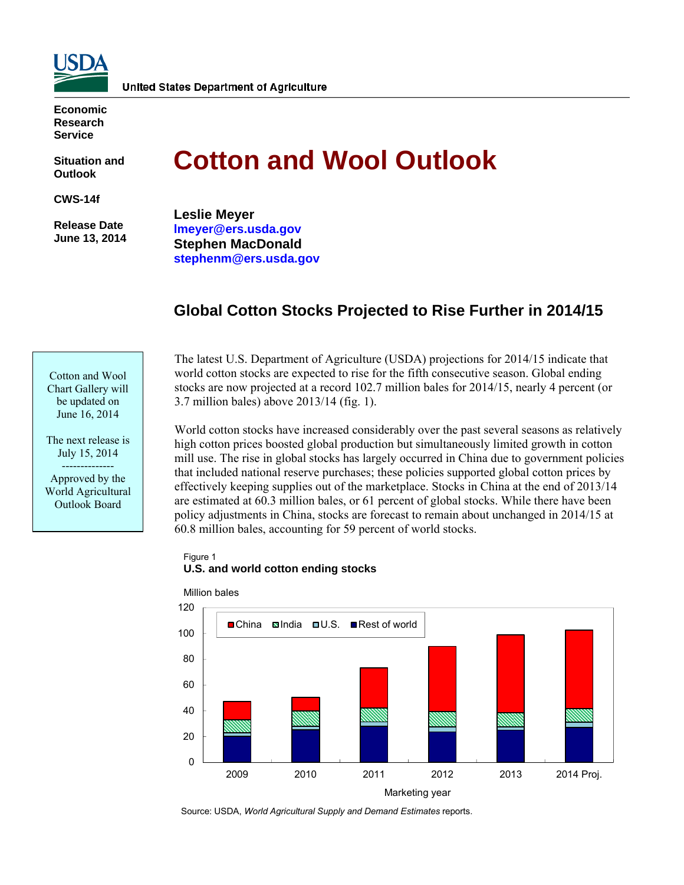

**Economic Research Service** 

**Situation and Outlook** 

**CWS-14f** 

 **Release Date June 13, 2014** 

# **Cotton and Wool Outlook**

**Leslie Meyer lmeyer@ers.usda.gov Stephen MacDonald stephenm@ers.usda.gov** 

# **Global Cotton Stocks Projected to Rise Further in 2014/15**

Cotton and Wool Chart Gallery will be updated on June 16, 2014

The next release is July 15, 2014 -------------- Approved by the World Agricultural Outlook Board

The latest U.S. Department of Agriculture (USDA) projections for 2014/15 indicate that world cotton stocks are expected to rise for the fifth consecutive season. Global ending stocks are now projected at a record 102.7 million bales for 2014/15, nearly 4 percent (or 3.7 million bales) above 2013/14 (fig. 1).

World cotton stocks have increased considerably over the past several seasons as relatively high cotton prices boosted global production but simultaneously limited growth in cotton mill use. The rise in global stocks has largely occurred in China due to government policies that included national reserve purchases; these policies supported global cotton prices by effectively keeping supplies out of the marketplace. Stocks in China at the end of 2013/14 are estimated at 60.3 million bales, or 61 percent of global stocks. While there have been policy adjustments in China, stocks are forecast to remain about unchanged in 2014/15 at 60.8 million bales, accounting for 59 percent of world stocks.

Figure 1 **U.S. and world cotton ending stocks**



Source: USDA, *World Agricultural Supply and Demand Estimates* reports.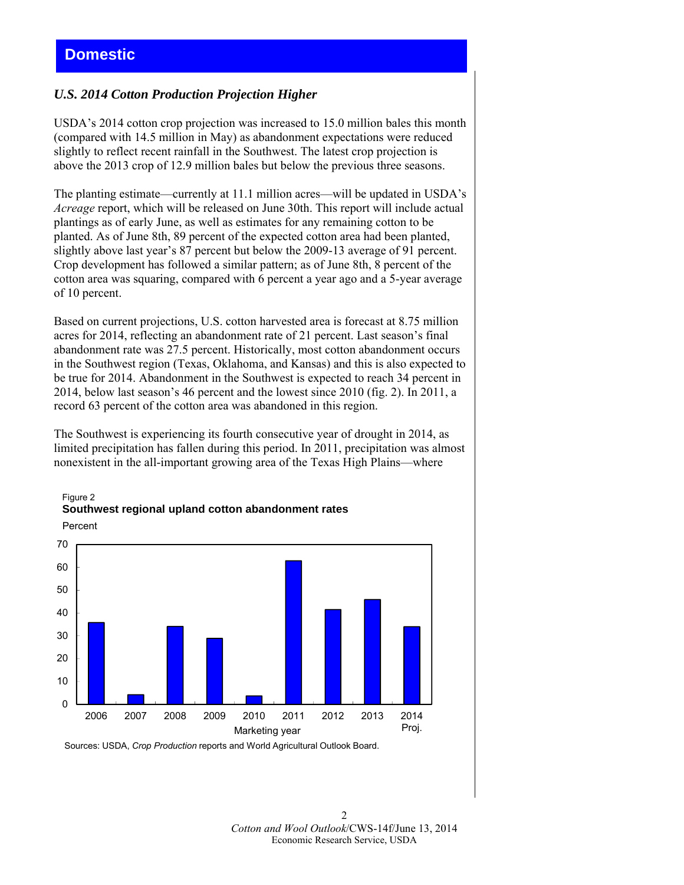# *U.S. 2014 Cotton Production Projection Higher*

USDA's 2014 cotton crop projection was increased to 15.0 million bales this month (compared with 14.5 million in May) as abandonment expectations were reduced slightly to reflect recent rainfall in the Southwest. The latest crop projection is above the 2013 crop of 12.9 million bales but below the previous three seasons.

The planting estimate—currently at 11.1 million acres—will be updated in USDA's *Acreage* report, which will be released on June 30th. This report will include actual plantings as of early June, as well as estimates for any remaining cotton to be planted. As of June 8th, 89 percent of the expected cotton area had been planted, slightly above last year's 87 percent but below the 2009-13 average of 91 percent. Crop development has followed a similar pattern; as of June 8th, 8 percent of the cotton area was squaring, compared with 6 percent a year ago and a 5-year average of 10 percent.

Based on current projections, U.S. cotton harvested area is forecast at 8.75 million acres for 2014, reflecting an abandonment rate of 21 percent. Last season's final abandonment rate was 27.5 percent. Historically, most cotton abandonment occurs in the Southwest region (Texas, Oklahoma, and Kansas) and this is also expected to be true for 2014. Abandonment in the Southwest is expected to reach 34 percent in 2014, below last season's 46 percent and the lowest since 2010 (fig. 2). In 2011, a record 63 percent of the cotton area was abandoned in this region.

The Southwest is experiencing its fourth consecutive year of drought in 2014, as limited precipitation has fallen during this period. In 2011, precipitation was almost nonexistent in the all-important growing area of the Texas High Plains—where



# Figure 2 **Southwest regional upland cotton abandonment rates**

Sources: USDA, *Crop Production* reports and World Agricultural Outlook Board.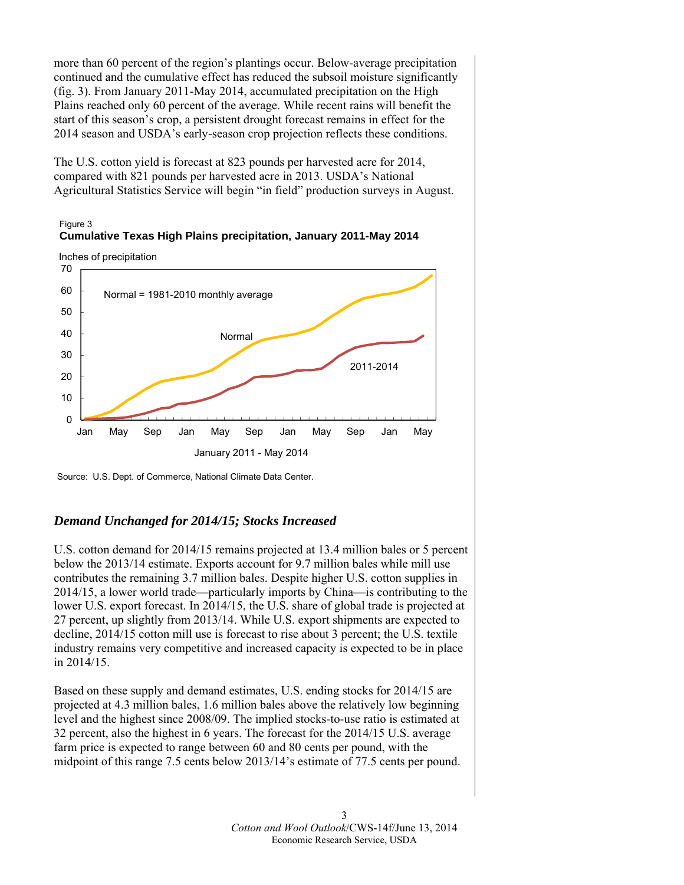more than 60 percent of the region's plantings occur. Below-average precipitation continued and the cumulative effect has reduced the subsoil moisture significantly (fig. 3). From January 2011-May 2014, accumulated precipitation on the High Plains reached only 60 percent of the average. While recent rains will benefit the start of this season's crop, a persistent drought forecast remains in effect for the 2014 season and USDA's early-season crop projection reflects these conditions.

The U.S. cotton yield is forecast at 823 pounds per harvested acre for 2014, compared with 821 pounds per harvested acre in 2013. USDA's National Agricultural Statistics Service will begin "in field" production surveys in August.



Inches of precipitation





# *Demand Unchanged for 2014/15; Stocks Increased*

U.S. cotton demand for 2014/15 remains projected at 13.4 million bales or 5 percent below the 2013/14 estimate. Exports account for 9.7 million bales while mill use contributes the remaining 3.7 million bales. Despite higher U.S. cotton supplies in 2014/15, a lower world trade—particularly imports by China—is contributing to the lower U.S. export forecast. In 2014/15, the U.S. share of global trade is projected at 27 percent, up slightly from 2013/14. While U.S. export shipments are expected to decline, 2014/15 cotton mill use is forecast to rise about 3 percent; the U.S. textile industry remains very competitive and increased capacity is expected to be in place in 2014/15.

Based on these supply and demand estimates, U.S. ending stocks for 2014/15 are projected at 4.3 million bales, 1.6 million bales above the relatively low beginning level and the highest since 2008/09. The implied stocks-to-use ratio is estimated at 32 percent, also the highest in 6 years. The forecast for the 2014/15 U.S. average farm price is expected to range between 60 and 80 cents per pound, with the midpoint of this range 7.5 cents below 2013/14's estimate of 77.5 cents per pound.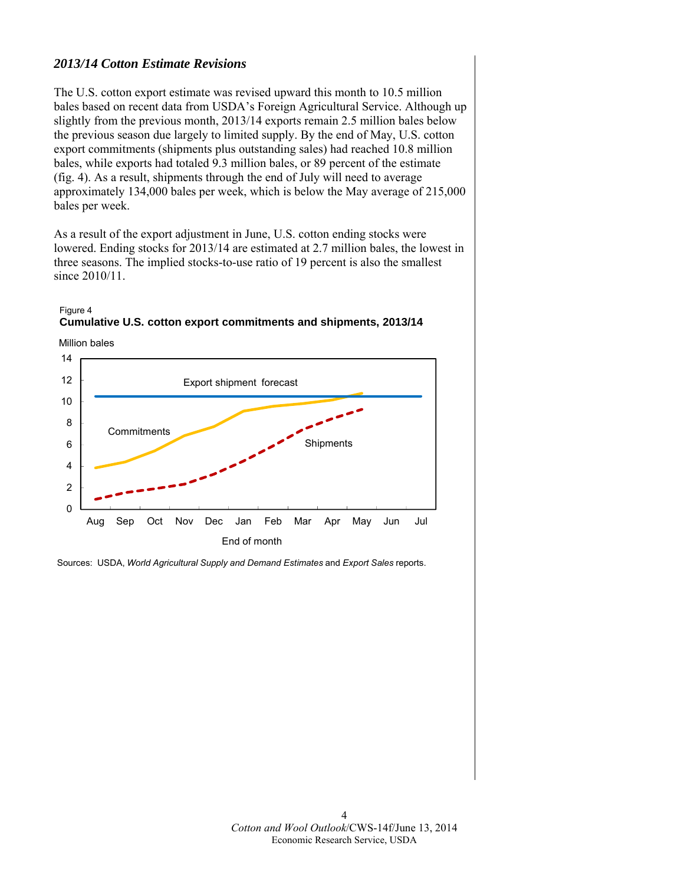# *2013/14 Cotton Estimate Revisions*

The U.S. cotton export estimate was revised upward this month to 10.5 million bales based on recent data from USDA's Foreign Agricultural Service. Although up slightly from the previous month, 2013/14 exports remain 2.5 million bales below the previous season due largely to limited supply. By the end of May, U.S. cotton export commitments (shipments plus outstanding sales) had reached 10.8 million bales, while exports had totaled 9.3 million bales, or 89 percent of the estimate (fig. 4). As a result, shipments through the end of July will need to average approximately 134,000 bales per week, which is below the May average of 215,000 bales per week.

As a result of the export adjustment in June, U.S. cotton ending stocks were lowered. Ending stocks for 2013/14 are estimated at 2.7 million bales, the lowest in three seasons. The implied stocks-to-use ratio of 19 percent is also the smallest since 2010/11.





Sources: USDA, *World Agricultural Supply and Demand Estimates* and *Export Sales* reports.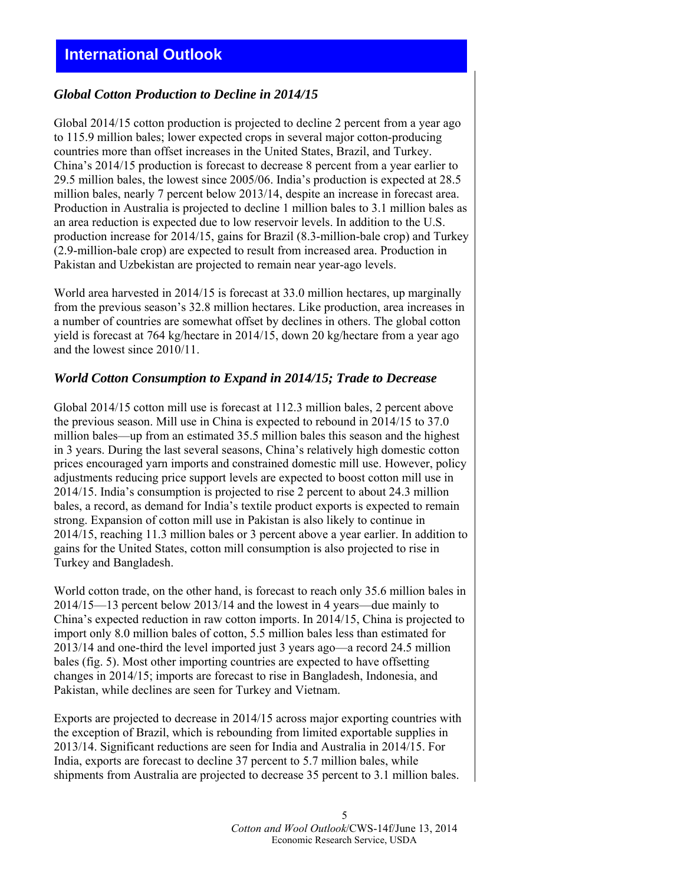# *Global Cotton Production to Decline in 2014/15*

Global 2014/15 cotton production is projected to decline 2 percent from a year ago to 115.9 million bales; lower expected crops in several major cotton-producing countries more than offset increases in the United States, Brazil, and Turkey. China's 2014/15 production is forecast to decrease 8 percent from a year earlier to 29.5 million bales, the lowest since 2005/06. India's production is expected at 28.5 million bales, nearly 7 percent below 2013/14, despite an increase in forecast area. Production in Australia is projected to decline 1 million bales to 3.1 million bales as an area reduction is expected due to low reservoir levels. In addition to the U.S. production increase for 2014/15, gains for Brazil (8.3-million-bale crop) and Turkey (2.9-million-bale crop) are expected to result from increased area. Production in Pakistan and Uzbekistan are projected to remain near year-ago levels.

World area harvested in 2014/15 is forecast at 33.0 million hectares, up marginally from the previous season's 32.8 million hectares. Like production, area increases in a number of countries are somewhat offset by declines in others. The global cotton yield is forecast at 764 kg/hectare in 2014/15, down 20 kg/hectare from a year ago and the lowest since 2010/11.

#### *World Cotton Consumption to Expand in 2014/15; Trade to Decrease*

Global 2014/15 cotton mill use is forecast at 112.3 million bales, 2 percent above the previous season. Mill use in China is expected to rebound in 2014/15 to 37.0 million bales—up from an estimated 35.5 million bales this season and the highest in 3 years. During the last several seasons, China's relatively high domestic cotton prices encouraged yarn imports and constrained domestic mill use. However, policy adjustments reducing price support levels are expected to boost cotton mill use in 2014/15. India's consumption is projected to rise 2 percent to about 24.3 million bales, a record, as demand for India's textile product exports is expected to remain strong. Expansion of cotton mill use in Pakistan is also likely to continue in 2014/15, reaching 11.3 million bales or 3 percent above a year earlier. In addition to gains for the United States, cotton mill consumption is also projected to rise in Turkey and Bangladesh.

World cotton trade, on the other hand, is forecast to reach only 35.6 million bales in 2014/15—13 percent below 2013/14 and the lowest in 4 years—due mainly to China's expected reduction in raw cotton imports. In 2014/15, China is projected to import only 8.0 million bales of cotton, 5.5 million bales less than estimated for 2013/14 and one-third the level imported just 3 years ago—a record 24.5 million bales (fig. 5). Most other importing countries are expected to have offsetting changes in 2014/15; imports are forecast to rise in Bangladesh, Indonesia, and Pakistan, while declines are seen for Turkey and Vietnam.

Exports are projected to decrease in 2014/15 across major exporting countries with the exception of Brazil, which is rebounding from limited exportable supplies in 2013/14. Significant reductions are seen for India and Australia in 2014/15. For India, exports are forecast to decline 37 percent to 5.7 million bales, while shipments from Australia are projected to decrease 35 percent to 3.1 million bales.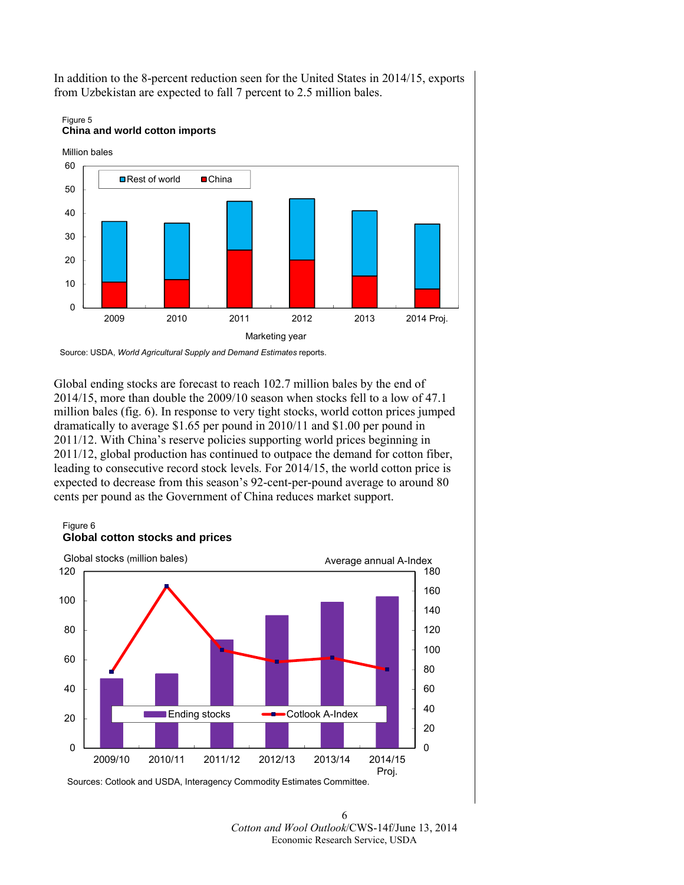

In addition to the 8-percent reduction seen for the United States in 2014/15, exports from Uzbekistan are expected to fall 7 percent to 2.5 million bales.

Figure 5

Source: USDA, *World Agricultural Supply and Demand Estimates* reports.

Global ending stocks are forecast to reach 102.7 million bales by the end of 2014/15, more than double the 2009/10 season when stocks fell to a low of 47.1 million bales (fig. 6). In response to very tight stocks, world cotton prices jumped dramatically to average \$1.65 per pound in 2010/11 and \$1.00 per pound in 2011/12. With China's reserve policies supporting world prices beginning in 2011/12, global production has continued to outpace the demand for cotton fiber, leading to consecutive record stock levels. For 2014/15, the world cotton price is expected to decrease from this season's 92-cent-per-pound average to around 80 cents per pound as the Government of China reduces market support.

#### Figure 6 **Global cotton stocks and prices**



6 *Cotton and Wool Outlook*/CWS-14f/June 13, 2014 Economic Research Service, USDA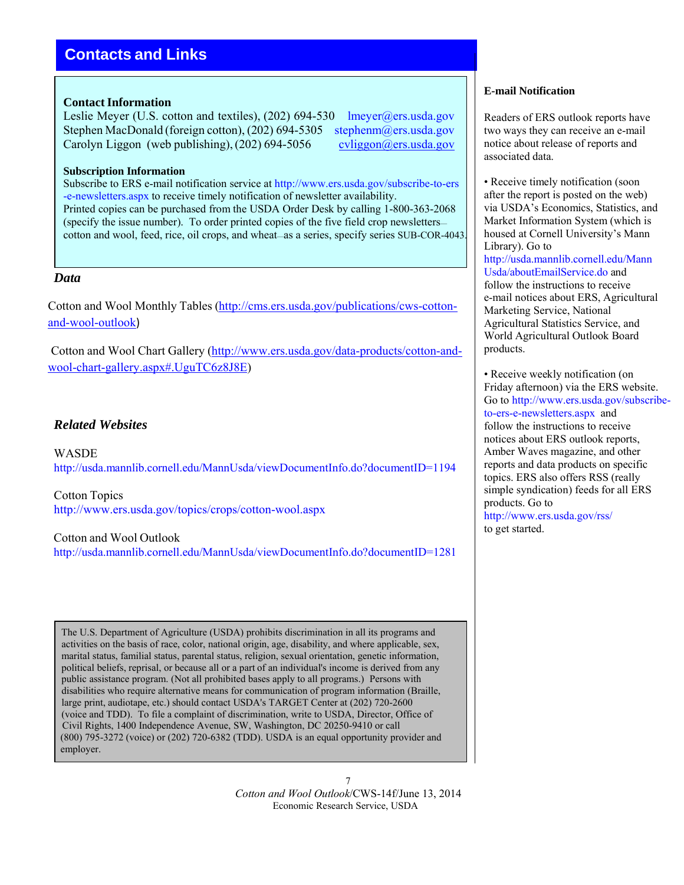# **Contacts and Links**

#### **Contact Information**

Leslie Meyer (U.S. cotton and textiles), (202) 694-530 lmeyer@ers.usda.gov Stephen MacDonald (foreign cotton), (202) 694-5305 stephenm@ers.usda.gov Carolyn Liggon (web publishing),  $(202)$  694-5056 cvliggon@ers.usda.gov

#### **Subscription Information**

Subscribe to ERS e-mail notification service at http://www.ers.usda.gov/subscribe-to-ers -e-newsletters.aspx to receive timely notification of newsletter availability. Printed copies can be purchased from the USDA Order Desk by calling 1-800-363-2068 (specify the issue number). To order printed copies of the five field crop newsletters cotton and wool, feed, rice, oil crops, and wheat—as a series, specify series SUB-COR-4043.

### *Data*

Cotton and Wool Monthly Tables (http://cms.ers.usda.gov/publications/cws-cottonand-wool-outlook)

Cotton and Wool Chart Gallery (http://www.ers.usda.gov/data-products/cotton-andwool-chart-gallery.aspx#.UguTC6z8J8E)

# *Related Websites*

WASDE http://usda.mannlib.cornell.edu/MannUsda/viewDocumentInfo.do?documentID=1194

Cotton Topics http://www.ers.usda.gov/topics/crops/cotton-wool.aspx

#### Cotton and Wool Outlook

http://usda.mannlib.cornell.edu/MannUsda/viewDocumentInfo.do?documentID=1281

The U.S. Department of Agriculture (USDA) prohibits discrimination in all its programs and activities on the basis of race, color, national origin, age, disability, and where applicable, sex, marital status, familial status, parental status, religion, sexual orientation, genetic information, political beliefs, reprisal, or because all or a part of an individual's income is derived from any public assistance program. (Not all prohibited bases apply to all programs.) Persons with disabilities who require alternative means for communication of program information (Braille, large print, audiotape, etc.) should contact USDA's TARGET Center at (202) 720-2600 (voice and TDD). To file a complaint of discrimination, write to USDA, Director, Office of Civil Rights, 1400 Independence Avenue, SW, Washington, DC 20250-9410 or call (800) 795-3272 (voice) or (202) 720-6382 (TDD). USDA is an equal opportunity provider and employer.

> 7 *Cotton and Wool Outlook*/CWS-14f/June 13, 2014 Economic Research Service, USDA

#### **E-mail Notification**

Readers of ERS outlook reports have two ways they can receive an e-mail notice about release of reports and associated data.

• Receive timely notification (soon) after the report is posted on the web) via USDA's Economics, Statistics, and Market Information System (which is housed at Cornell University's Mann Library). Go to http://usda.mannlib.cornell.edu/Mann Usda/aboutEmailService.do and follow the instructions to receive e-mail notices about ERS, Agricultural Marketing Service, National Agricultural Statistics Service, and World Agricultural Outlook Board products.

• Receive weekly notification (on Friday afternoon) via the ERS website. Go to http://www.ers.usda.gov/subscribeto-ers-e-newsletters.aspx and follow the instructions to receive notices about ERS outlook reports, Amber Waves magazine, and other reports and data products on specific topics. ERS also offers RSS (really simple syndication) feeds for all ERS products. Go to http://www.ers.usda.gov/rss/

to get started.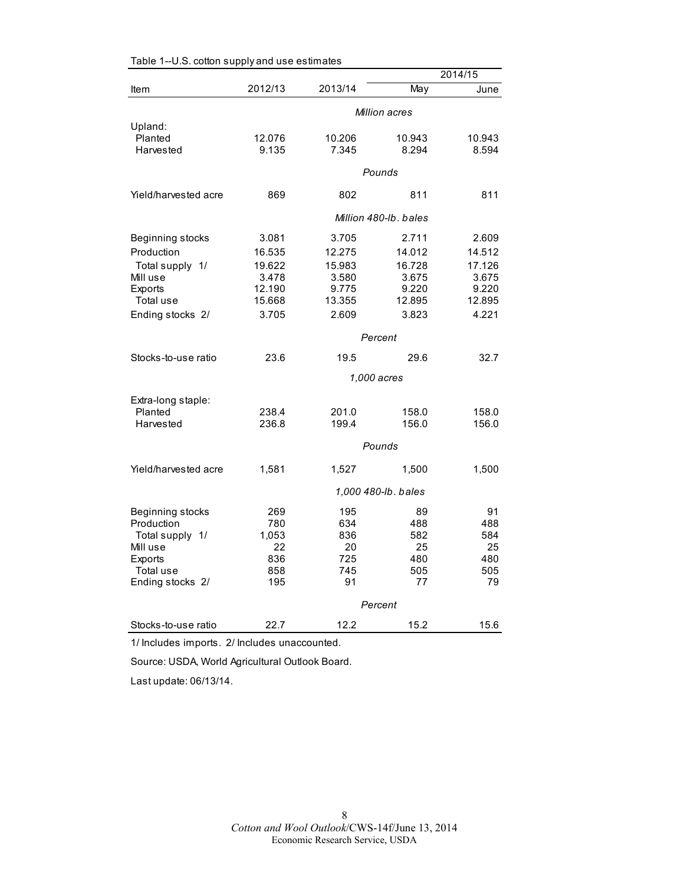|                      |                     |         |                       | 2014/15 |
|----------------------|---------------------|---------|-----------------------|---------|
| Item                 | 2012/13             | 2013/14 | May                   | June    |
|                      |                     |         | Million acres         |         |
| Upland:              |                     |         |                       |         |
| Planted              | 12.076              | 10.206  | 10.943                | 10.943  |
| Harvested            | 9.135               | 7.345   | 8.294                 | 8.594   |
|                      |                     |         | Pounds                |         |
| Yield/harvested acre | 869                 | 802     | 811                   | 811     |
|                      |                     |         | Million 480-lb, bales |         |
| Beginning stocks     | 3.081               | 3.705   | 2.711                 | 2.609   |
| Production           | 16.535              | 12.275  | 14.012                | 14.512  |
| Total supply 1/      | 19.622              | 15.983  | 16.728                | 17.126  |
| Mill use             | 3.478               | 3.580   | 3.675                 | 3.675   |
| <b>Exports</b>       | 12.190              | 9.775   | 9.220                 | 9.220   |
| Total use            | 15.668              | 13.355  | 12.895                | 12.895  |
| Ending stocks 2/     | 3.705               | 2.609   | 3.823                 | 4.221   |
|                      |                     |         | Percent               |         |
| Stocks-to-use ratio  | 23.6                | 19.5    | 29.6                  | 32.7    |
|                      |                     |         | 1,000 acres           |         |
| Extra-long staple:   |                     |         |                       |         |
| Planted              | 238.4               | 201.0   | 158.0                 | 158.0   |
| Harvested            | 236.8               | 199.4   | 156.0                 | 156.0   |
|                      |                     |         | Pounds                |         |
| Yield/harvested acre | 1,581               | 1,527   | 1,500                 | 1,500   |
|                      | 1,000 480-lb. bales |         |                       |         |
| Beginning stocks     | 269                 | 195     | 89                    | 91      |
| Production           | 780                 | 634     | 488                   | 488     |
| Total supply 1/      | 1,053               | 836     | 582                   | 584     |
| Mill use             | 22                  | 20      | 25                    | 25      |
| Exports              | 836                 | 725     | 480                   | 480     |
| Total use            | 858                 | 745     | 505                   | 505     |
| Ending stocks 2/     | 195                 | 91      | 77                    | 79      |
|                      |                     |         | Percent               |         |
| Stocks-to-use ratio  | 22.7                | 12.2    | 15.2                  | 15.6    |

|  |  | Table 1--U.S. cotton supply and use estimates |
|--|--|-----------------------------------------------|
|--|--|-----------------------------------------------|

1/ Includes imports. 2/ Includes unaccounted.

Source: USDA, World Agricultural Outlook Board.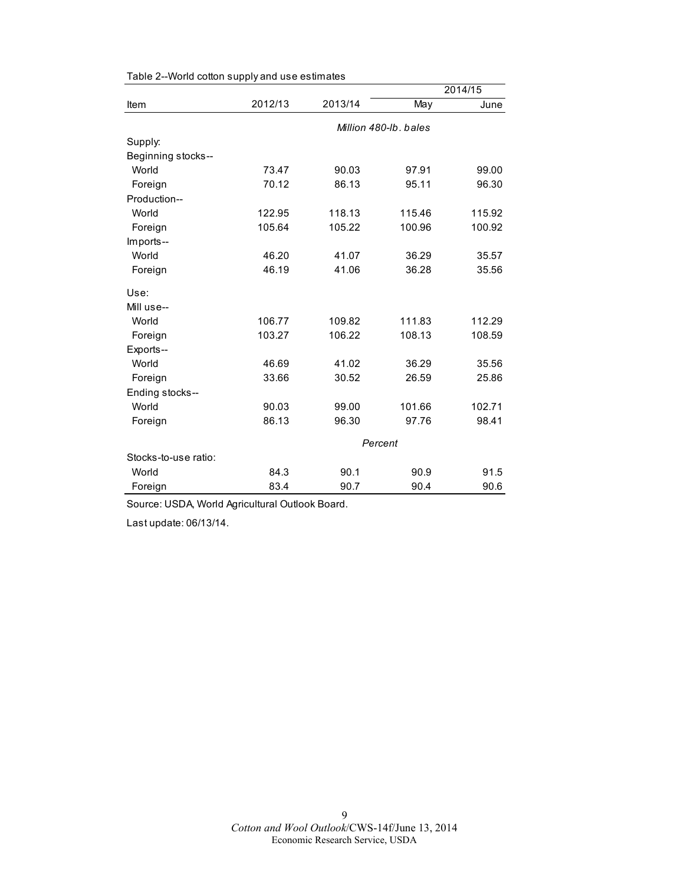|                      |         |         |                       | 2014/15 |
|----------------------|---------|---------|-----------------------|---------|
| Item                 | 2012/13 | 2013/14 | May                   | June    |
|                      |         |         | Million 480-lb, bales |         |
| Supply:              |         |         |                       |         |
| Beginning stocks--   |         |         |                       |         |
| World                | 73.47   | 90.03   | 97.91                 | 99.00   |
| Foreign              | 70.12   | 86.13   | 95.11                 | 96.30   |
| Production--         |         |         |                       |         |
| World                | 122.95  | 118.13  | 115.46                | 115.92  |
| Foreign              | 105.64  | 105.22  | 100.96                | 100.92  |
| Imports--            |         |         |                       |         |
| World                | 46.20   | 41.07   | 36.29                 | 35.57   |
| Foreign              | 46.19   | 41.06   | 36.28                 | 35.56   |
| Use:                 |         |         |                       |         |
| Mill use--           |         |         |                       |         |
| World                | 106.77  | 109.82  | 111.83                | 112.29  |
| Foreign              | 103.27  | 106.22  | 108.13                | 108.59  |
| Exports--            |         |         |                       |         |
| World                | 46.69   | 41.02   | 36.29                 | 35.56   |
| Foreign              | 33.66   | 30.52   | 26.59                 | 25.86   |
| Ending stocks--      |         |         |                       |         |
| World                | 90.03   | 99.00   | 101.66                | 102.71  |
| Foreign              | 86.13   | 96.30   | 97.76                 | 98.41   |
|                      |         |         | Percent               |         |
| Stocks-to-use ratio: |         |         |                       |         |
| World                | 84.3    | 90.1    | 90.9                  | 91.5    |
| Foreign              | 83.4    | 90.7    | 90.4                  | 90.6    |

Table 2--World cotton supply and use estimates

Source: USDA, World Agricultural Outlook Board.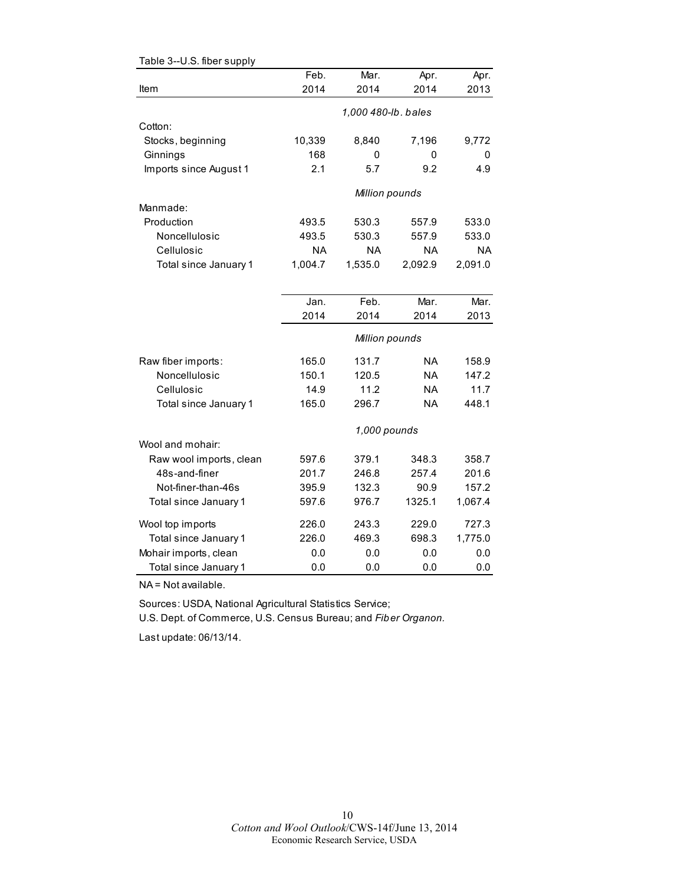| Table 3--U.S. fiber supply |           |                     |           |           |
|----------------------------|-----------|---------------------|-----------|-----------|
|                            | Feb.      | Mar.                | Apr.      | Apr.      |
| Item                       | 2014      | 2014                | 2014      | 2013      |
|                            |           | 1,000 480-lb. bales |           |           |
| Cotton:                    |           |                     |           |           |
| Stocks, beginning          | 10,339    | 8,840               | 7,196     | 9,772     |
| Ginnings                   | 168       | 0                   | 0         | 0         |
| Imports since August 1     | 2.1       | 5.7                 | 9.2       | 4.9       |
|                            |           | Million pounds      |           |           |
| Manmade:                   |           |                     |           |           |
| Production                 | 493.5     | 530.3               | 557.9     | 533.0     |
| Noncellulosic              | 493.5     | 530.3               | 557.9     | 533.0     |
| Cellulosic                 | <b>NA</b> | <b>NA</b>           | <b>NA</b> | <b>NA</b> |
| Total since January 1      | 1,004.7   | 1,535.0             | 2,092.9   | 2,091.0   |
|                            |           |                     |           |           |
|                            | Jan.      | Feb.                | Mar.      | Mar.      |
|                            | 2014      | 2014                | 2014      | 2013      |
|                            |           | Million pounds      |           |           |
| Raw fiber imports:         | 165.0     | 131.7               | NA        | 158.9     |
| Noncellulosic              | 150.1     | 120.5               | <b>NA</b> | 147.2     |
| Cellulosic                 | 14.9      | 11.2                | <b>NA</b> | 11.7      |
| Total since January 1      | 165.0     | 296.7               | NA        | 448.1     |
|                            |           | 1,000 pounds        |           |           |
| Wool and mohair:           |           |                     |           |           |
| Raw wool imports, clean    | 597.6     | 379.1               | 348.3     | 358.7     |
| 48s-and-finer              | 201.7     | 246.8               | 257.4     | 201.6     |
| Not-finer-than-46s         | 395.9     | 132.3               | 90.9      | 157.2     |
| Total since January 1      | 597.6     | 976.7               | 1325.1    | 1,067.4   |
| Wool top imports           | 226.0     | 243.3               | 229.0     | 727.3     |
| Total since January 1      | 226.0     | 469.3               | 698.3     | 1,775.0   |
| Mohair imports, clean      | 0.0       | 0.0                 | 0.0       | 0.0       |
| Total since January 1      | 0.0       | 0.0                 | 0.0       | 0.0       |

NA = Not available.

Sources: USDA, National Agricultural Statistics Service;

U.S. Dept. of Commerce, U.S. Census Bureau; and *Fiber Organon.*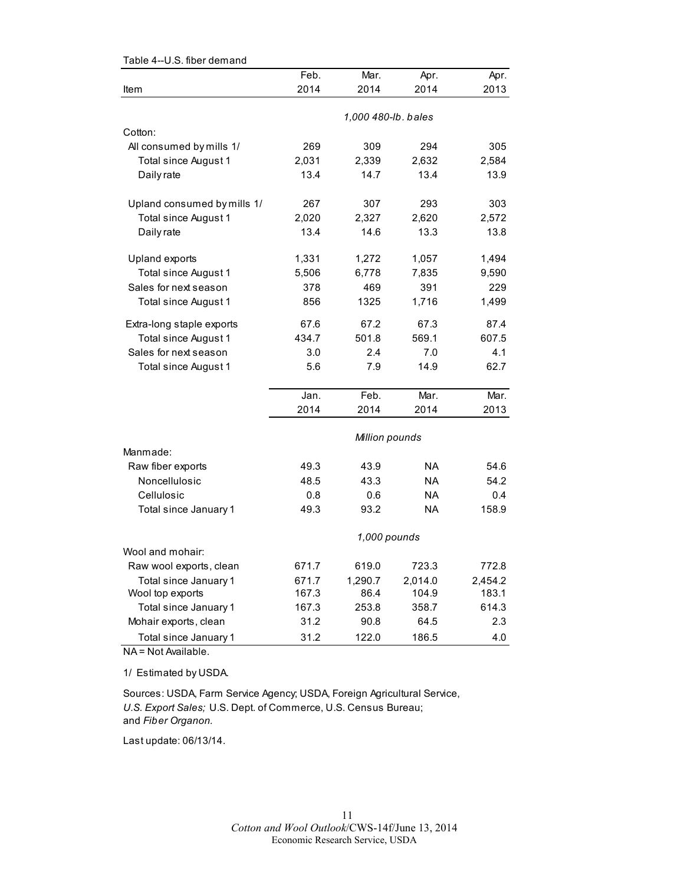| Table 4--U.S. fiber demand  |       |                     |           |         |
|-----------------------------|-------|---------------------|-----------|---------|
|                             | Feb.  | Mar.                | Apr.      | Apr.    |
| Item                        | 2014  | 2014                | 2014      | 2013    |
|                             |       |                     |           |         |
|                             |       | 1,000 480-lb. bales |           |         |
| Cotton:                     |       |                     |           |         |
| All consumed by mills 1/    | 269   | 309                 | 294       | 305     |
| Total since August 1        | 2,031 | 2,339               | 2,632     | 2,584   |
| Daily rate                  | 13.4  | 14.7                | 13.4      | 13.9    |
| Upland consumed by mills 1/ | 267   | 307                 | 293       | 303     |
| Total since August 1        | 2,020 | 2,327               | 2,620     | 2,572   |
| Daily rate                  | 13.4  | 14.6                | 13.3      | 13.8    |
|                             |       |                     |           |         |
| Upland exports              | 1,331 | 1,272               | 1,057     | 1,494   |
| Total since August 1        | 5,506 | 6,778               | 7,835     | 9,590   |
| Sales for next season       | 378   | 469                 | 391       | 229     |
| Total since August 1        | 856   | 1325                | 1,716     | 1,499   |
| Extra-long staple exports   | 67.6  | 67.2                | 67.3      | 87.4    |
| <b>Total since August 1</b> | 434.7 | 501.8               | 569.1     | 607.5   |
| Sales for next season       | 3.0   | 2.4                 | 7.0       | 4.1     |
| Total since August 1        | 5.6   | 7.9                 | 14.9      | 62.7    |
|                             | Jan.  | Feb.                | Mar.      | Mar.    |
|                             | 2014  | 2014                | 2014      | 2013    |
|                             |       | Million pounds      |           |         |
| Manmade:                    |       |                     |           |         |
| Raw fiber exports           | 49.3  | 43.9                | <b>NA</b> | 54.6    |
| Noncellulosic               | 48.5  | 43.3                | <b>NA</b> | 54.2    |
| Cellulosic                  | 0.8   | 0.6                 | <b>NA</b> | 0.4     |
| Total since January 1       | 49.3  | 93.2                | <b>NA</b> | 158.9   |
|                             |       | 1,000 pounds        |           |         |
| Wool and mohair:            |       |                     |           |         |
| Raw wool exports, clean     | 671.7 | 619.0               | 723.3     | 772.8   |
| Total since January 1       | 671.7 | 1,290.7             | 2,014.0   | 2,454.2 |
| Wool top exports            | 167.3 | 86.4                | 104.9     | 183.1   |
| Total since January 1       | 167.3 | 253.8               | 358.7     | 614.3   |
| Mohair exports, clean       | 31.2  | 90.8                | 64.5      | 2.3     |
| Total since January 1       | 31.2  | 122.0               | 186.5     | 4.0     |

NA = Not Available.

1/ Estimated by USDA.

Sources: USDA, Farm Service Agency; USDA, Foreign Agricultural Service, *U.S. Export Sales;* U.S. Dept. of Commerce, U.S. Census Bureau; and *Fiber Organon.*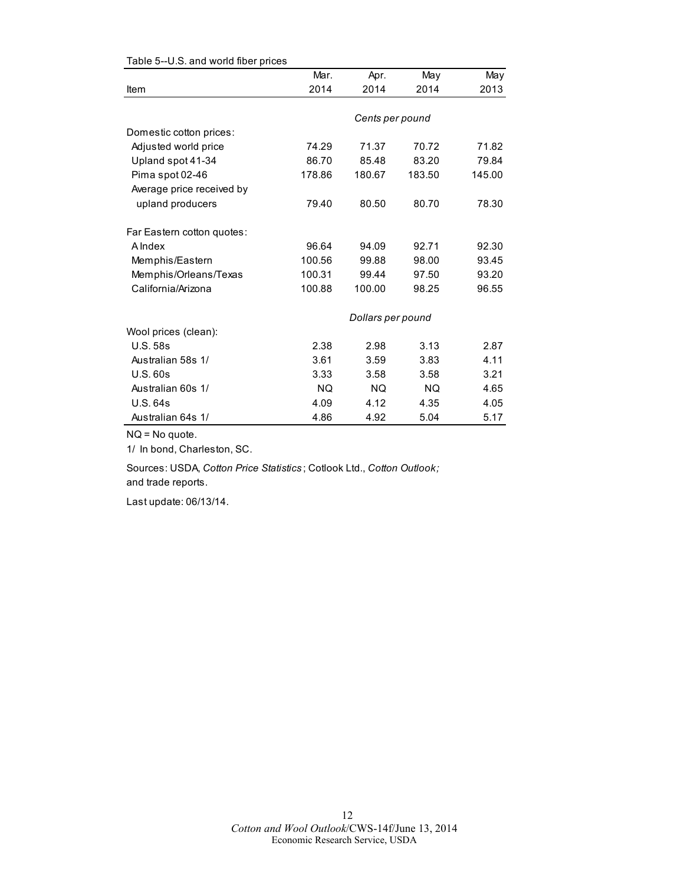|                            | Mar.      | Apr.              | May       | May    |
|----------------------------|-----------|-------------------|-----------|--------|
| Item                       | 2014      | 2014              | 2014      | 2013   |
|                            |           |                   |           |        |
|                            |           | Cents per pound   |           |        |
| Domestic cotton prices:    |           |                   |           |        |
| Adjusted world price       | 74.29     | 71.37             | 70.72     | 71.82  |
| Upland spot 41-34          | 86.70     | 85.48             | 83.20     | 79.84  |
| Pima spot 02-46            | 178.86    | 180.67            | 183.50    | 145.00 |
| Average price received by  |           |                   |           |        |
| upland producers           | 79.40     | 80.50             | 80.70     | 78.30  |
| Far Eastern cotton quotes: |           |                   |           |        |
| A Index                    | 96.64     | 94.09             | 92.71     | 92.30  |
| Memphis/Eastern            | 100.56    | 99.88             | 98.00     | 93.45  |
| Memphis/Orleans/Texas      | 100.31    | 99.44             | 97.50     | 93.20  |
| California/Arizona         | 100.88    | 100.00            | 98.25     | 96.55  |
|                            |           | Dollars per pound |           |        |
| Wool prices (clean):       |           |                   |           |        |
| <b>U.S. 58s</b>            | 2.38      | 2.98              | 3.13      | 2.87   |
| Australian 58s 1/          | 3.61      | 3.59              | 3.83      | 4.11   |
| U.S.60s                    | 3.33      | 3.58              | 3.58      | 3.21   |
| Australian 60s 1/          | <b>NQ</b> | <b>NQ</b>         | <b>NQ</b> | 4.65   |
| <b>U.S. 64s</b>            | 4.09      | 4.12              | 4.35      | 4.05   |
| Australian 64s 1/          | 4.86      | 4.92              | 5.04      | 5.17   |

Table 5--U.S. and world fiber prices

NQ = No quote.

1/ In bond, Charleston, SC.

Sources: USDA, *Cotton Price Statistics* ; Cotlook Ltd., *Cotton Outlook;*  and trade reports.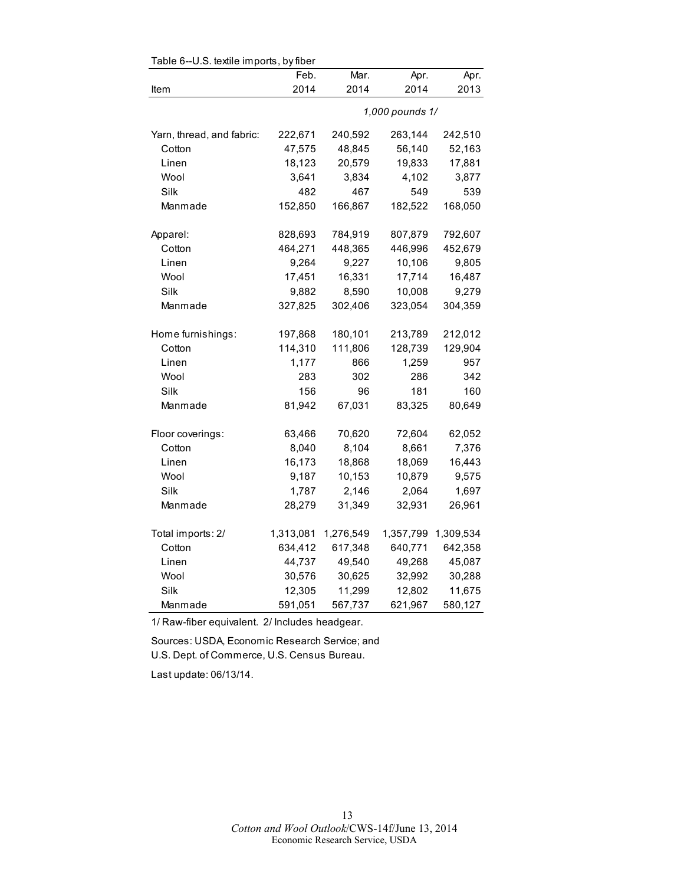| Table 6--U.S. textile imports, by fiber |           |           |                 |           |  |
|-----------------------------------------|-----------|-----------|-----------------|-----------|--|
|                                         | Feb.      | Mar.      | Apr.            | Apr.      |  |
| Item                                    | 2014      | 2014      | 2014            | 2013      |  |
|                                         |           |           | 1,000 pounds 1/ |           |  |
| Yarn, thread, and fabric:               | 222,671   | 240,592   | 263,144         | 242,510   |  |
| Cotton                                  | 47,575    | 48,845    | 56,140          | 52,163    |  |
| Linen                                   | 18,123    | 20,579    | 19,833          | 17,881    |  |
| Wool                                    | 3,641     | 3,834     | 4,102           | 3,877     |  |
| Silk                                    | 482       | 467       | 549             | 539       |  |
| Manmade                                 | 152,850   | 166,867   | 182,522         | 168,050   |  |
| Apparel:                                | 828,693   | 784,919   | 807,879         | 792,607   |  |
| Cotton                                  | 464,271   | 448,365   | 446,996         | 452,679   |  |
| Linen                                   | 9,264     | 9,227     | 10,106          | 9,805     |  |
| Wool                                    | 17,451    | 16,331    | 17,714          | 16,487    |  |
| Silk                                    | 9,882     | 8,590     | 10,008          | 9,279     |  |
| Manmade                                 | 327,825   | 302,406   | 323,054         | 304,359   |  |
| Home furnishings:                       | 197,868   | 180,101   | 213,789         | 212,012   |  |
| Cotton                                  | 114,310   | 111,806   | 128,739         | 129,904   |  |
| Linen                                   | 1,177     | 866       | 1,259           | 957       |  |
| Wool                                    | 283       | 302       | 286             | 342       |  |
| Silk                                    | 156       | 96        | 181             | 160       |  |
| Manmade                                 | 81,942    | 67,031    | 83,325          | 80,649    |  |
| Floor coverings:                        | 63,466    | 70,620    | 72,604          | 62,052    |  |
| Cotton                                  | 8,040     | 8,104     | 8,661           | 7,376     |  |
| Linen                                   | 16,173    | 18,868    | 18,069          | 16,443    |  |
| Wool                                    | 9,187     | 10,153    | 10,879          | 9,575     |  |
| Silk                                    | 1,787     | 2,146     | 2,064           | 1,697     |  |
| Manmade                                 | 28,279    | 31,349    | 32,931          | 26,961    |  |
| Total imports: 2/                       | 1,313,081 | 1,276,549 | 1,357,799       | 1,309,534 |  |
| Cotton                                  | 634,412   | 617,348   | 640,771         | 642,358   |  |
| Linen                                   | 44,737    | 49,540    | 49,268          | 45,087    |  |
| Wool                                    | 30,576    | 30,625    | 32,992          | 30,288    |  |
| Silk                                    | 12,305    | 11,299    | 12,802          | 11,675    |  |
| Manmade                                 | 591,051   | 567,737   | 621,967         | 580,127   |  |

 $\mathsf{TableC}$  -LLC, textile imports, by fib

1/ Raw-fiber equivalent. 2/ Includes headgear.

Sources: USDA, Economic Research Service; and U.S. Dept. of Commerce, U.S. Census Bureau.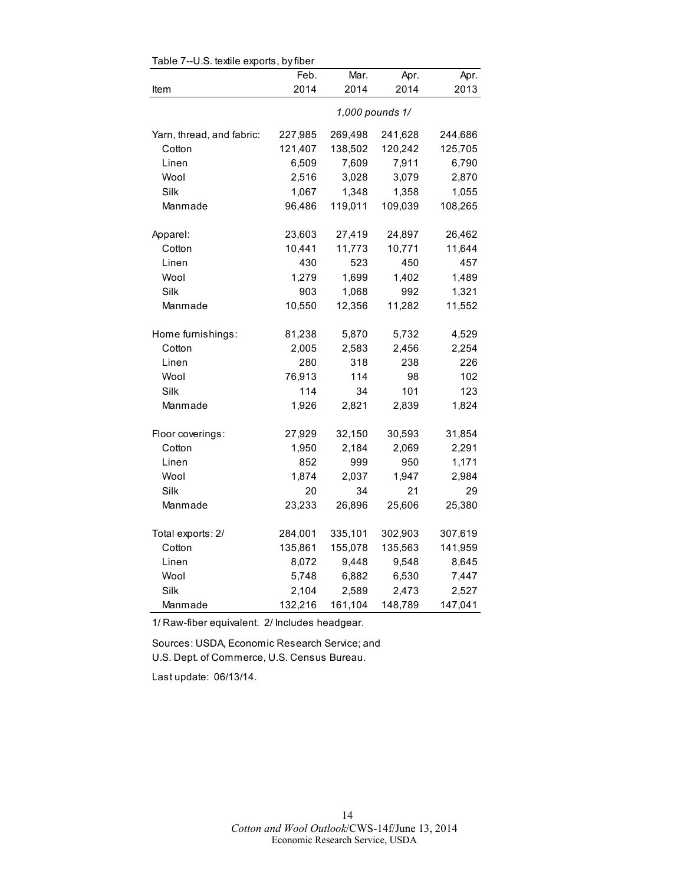| iavic <i>i</i><br>--u.u. textile expurits, by liber |                 |              |              |              |  |
|-----------------------------------------------------|-----------------|--------------|--------------|--------------|--|
|                                                     | Feb.<br>2014    | Mar.<br>2014 | Apr.<br>2014 | Apr.<br>2013 |  |
| Item                                                |                 |              |              |              |  |
|                                                     | 1,000 pounds 1/ |              |              |              |  |
| Yarn, thread, and fabric:                           | 227,985         | 269,498      | 241,628      | 244,686      |  |
| Cotton                                              | 121,407         | 138,502      | 120,242      | 125,705      |  |
| Linen                                               | 6,509           | 7,609        | 7,911        | 6,790        |  |
| Wool                                                | 2,516           | 3,028        | 3,079        | 2,870        |  |
| Silk                                                | 1,067           | 1,348        | 1,358        | 1,055        |  |
| Manmade                                             | 96,486          | 119,011      | 109,039      | 108,265      |  |
|                                                     |                 |              |              |              |  |
| Apparel:                                            | 23,603          | 27,419       | 24,897       | 26,462       |  |
| Cotton                                              | 10,441          | 11,773       | 10,771       | 11,644       |  |
| Linen                                               | 430             | 523          | 450          | 457          |  |
| Wool                                                | 1,279           | 1,699        | 1,402        | 1,489        |  |
| Silk                                                | 903             | 1,068        | 992          | 1,321        |  |
| Manmade                                             | 10,550          | 12,356       | 11,282       | 11,552       |  |
| Home furnishings:                                   | 81,238          | 5,870        | 5,732        | 4,529        |  |
| Cotton                                              | 2,005           | 2,583        | 2,456        | 2,254        |  |
| Linen                                               | 280             | 318          | 238          | 226          |  |
| Wool                                                | 76,913          | 114          | 98           | 102          |  |
| Silk                                                | 114             | 34           | 101          | 123          |  |
| Manmade                                             | 1,926           | 2,821        | 2,839        | 1,824        |  |
|                                                     |                 |              |              |              |  |
| Floor coverings:                                    | 27,929          | 32,150       | 30,593       | 31,854       |  |
| Cotton                                              | 1,950           | 2,184        | 2,069        | 2,291        |  |
| Linen                                               | 852             | 999          | 950          | 1,171        |  |
| Wool                                                | 1,874           | 2,037        | 1,947        | 2,984        |  |
| Silk                                                | 20              | 34           | 21           | 29           |  |
| Manmade                                             | 23,233          | 26,896       | 25,606       | 25,380       |  |
| Total exports: 2/                                   | 284,001         | 335,101      | 302,903      | 307,619      |  |
| Cotton                                              | 135,861         | 155,078      | 135,563      | 141,959      |  |
| Linen                                               | 8,072           | 9,448        | 9,548        | 8,645        |  |
| Wool                                                | 5,748           | 6,882        | 6,530        | 7,447        |  |
| Silk                                                | 2,104           | 2,589        | 2,473        | 2,527        |  |
| Manmade                                             | 132,216         | 161,104      | 148,789      | 147,041      |  |

Table 7--U.S. textile exports, by fiber

1/ Raw-fiber equivalent. 2/ Includes headgear.

Sources: USDA, Economic Research Service; and U.S. Dept. of Commerce, U.S. Census Bureau.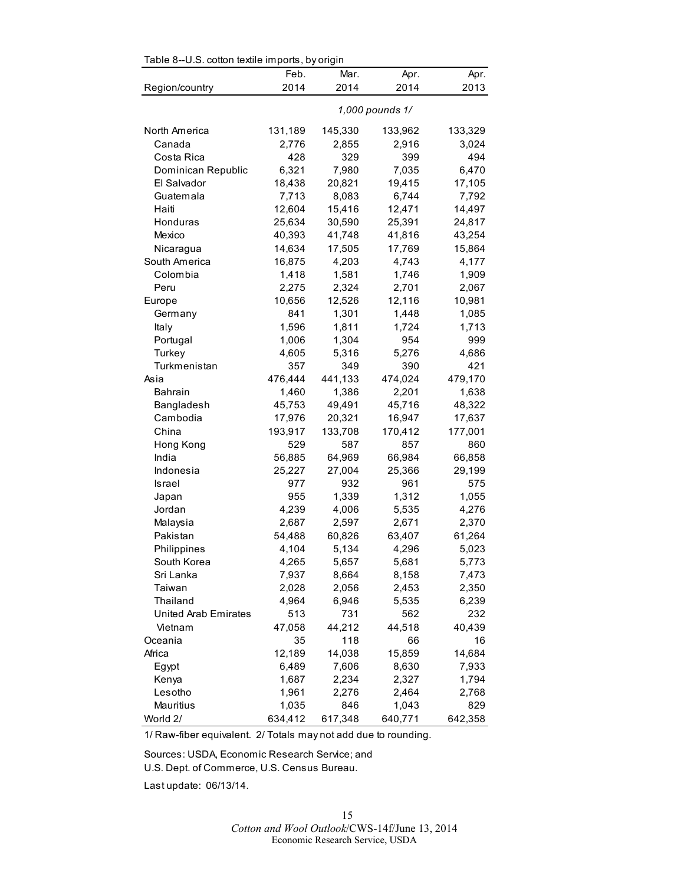| Table 8--0.S. cotton textile imports, by origin |                 |         |         |         |  |
|-------------------------------------------------|-----------------|---------|---------|---------|--|
|                                                 | Feb.            | Mar.    | Apr.    | Apr.    |  |
| Region/country                                  | 2014            | 2014    | 2014    | 2013    |  |
|                                                 | 1,000 pounds 1/ |         |         |         |  |
| North America                                   | 131,189         | 145,330 | 133,962 | 133,329 |  |
| Canada                                          | 2,776           | 2,855   | 2,916   | 3,024   |  |
| Costa Rica                                      | 428             | 329     | 399     | 494     |  |
| Dominican Republic                              | 6,321           | 7,980   | 7,035   | 6,470   |  |
| El Salvador                                     | 18,438          | 20,821  | 19,415  | 17,105  |  |
| Guatemala                                       | 7,713           | 8,083   | 6,744   | 7,792   |  |
| Haiti                                           | 12,604          | 15,416  | 12,471  | 14,497  |  |
| Honduras                                        | 25,634          | 30,590  | 25,391  | 24,817  |  |
| Mexico                                          | 40,393          | 41,748  | 41,816  | 43,254  |  |
| Nicaragua                                       | 14,634          | 17,505  | 17,769  | 15,864  |  |
| South America                                   | 16,875          | 4,203   | 4,743   | 4,177   |  |
| Colombia                                        | 1,418           | 1,581   | 1,746   | 1,909   |  |
| Peru                                            | 2,275           | 2,324   | 2,701   | 2,067   |  |
| Europe                                          | 10,656          | 12,526  | 12,116  | 10,981  |  |
| Germany                                         | 841             | 1,301   | 1,448   | 1,085   |  |
| Italy                                           | 1,596           | 1,811   | 1,724   | 1,713   |  |
| Portugal                                        | 1,006           | 1,304   | 954     | 999     |  |
| Turkey                                          | 4,605           | 5,316   | 5,276   | 4,686   |  |
| Turkmenistan                                    | 357             | 349     | 390     | 421     |  |
| Asia                                            | 476,444         | 441,133 | 474,024 | 479,170 |  |
| <b>Bahrain</b>                                  | 1,460           | 1,386   | 2,201   | 1,638   |  |
| Bangladesh                                      | 45,753          | 49,491  | 45,716  | 48,322  |  |
| Cambodia                                        | 17,976          | 20,321  | 16,947  | 17,637  |  |
| China                                           | 193,917         | 133,708 | 170,412 | 177,001 |  |
| Hong Kong                                       | 529             | 587     | 857     | 860     |  |
| India                                           | 56,885          | 64,969  | 66,984  | 66,858  |  |
| Indonesia                                       | 25,227          | 27,004  | 25,366  | 29,199  |  |
| Israel                                          | 977             | 932     | 961     | 575     |  |
| Japan                                           | 955             | 1,339   | 1,312   | 1,055   |  |
| Jordan                                          | 4,239           | 4,006   | 5,535   | 4,276   |  |
| Malaysia                                        | 2,687           | 2,597   | 2,671   | 2,370   |  |
| Pakistan                                        | 54,488          | 60,826  | 63,407  | 61,264  |  |
| Philippines                                     | 4,104           | 5,134   | 4,296   | 5,023   |  |
| South Korea                                     | 4,265           | 5,657   | 5,681   | 5,773   |  |
| Sri Lanka                                       | 7,937           | 8,664   | 8,158   | 7,473   |  |
| Taiwan                                          | 2,028           | 2,056   | 2,453   | 2,350   |  |
| Thailand                                        | 4,964           | 6,946   | 5,535   | 6,239   |  |
| United Arab Emirates                            | 513             | 731     | 562     | 232     |  |
| Vietnam                                         | 47,058          | 44,212  | 44,518  | 40,439  |  |
| Oceania                                         | 35              | 118     | 66      | 16      |  |
| Africa                                          | 12,189          | 14,038  | 15,859  | 14,684  |  |
| Egypt                                           | 6,489           | 7,606   | 8,630   | 7,933   |  |
| Kenya                                           | 1,687           | 2,234   | 2,327   | 1,794   |  |
| Lesotho                                         | 1,961           | 2,276   | 2,464   | 2,768   |  |
| Mauritius                                       | 1,035           | 846     | 1,043   | 829     |  |
| World 2/                                        | 634,412         | 617,348 | 640,771 | 642,358 |  |

 $Table 8-11$  S, cotton to tile imports, by origin

1/ Raw-fiber equivalent. 2/ Totals may not add due to rounding.

Sources: USDA, Economic Research Service; and U.S. Dept. of Commerce, U.S. Census Bureau.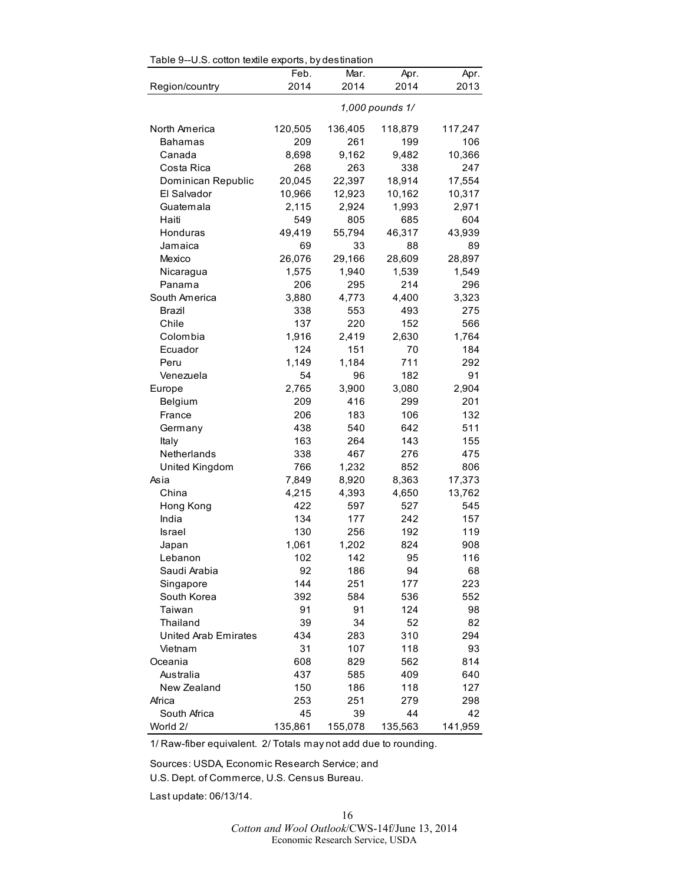| Table 9--U.S. cotton textile exports, by destination |                 |            |            |            |  |
|------------------------------------------------------|-----------------|------------|------------|------------|--|
|                                                      | Feb.            | Mar.       | Apr.       | Apr.       |  |
| Region/country                                       | 2014            | 2014       | 2014       | 2013       |  |
|                                                      | 1,000 pounds 1/ |            |            |            |  |
| North America                                        | 120,505         | 136,405    | 118,879    | 117,247    |  |
| Bahamas                                              | 209             | 261        | 199        | 106        |  |
| Canada                                               | 8,698           | 9,162      | 9,482      | 10,366     |  |
| Costa Rica                                           | 268             | 263        | 338        | 247        |  |
| Dominican Republic                                   | 20,045          | 22,397     | 18,914     | 17,554     |  |
| El Salvador                                          | 10,966          | 12,923     | 10,162     | 10,317     |  |
| Guatemala                                            | 2,115           | 2,924      | 1,993      | 2,971      |  |
| Haiti                                                | 549             | 805        | 685        | 604        |  |
| Honduras                                             | 49,419          | 55,794     | 46,317     | 43,939     |  |
| Jamaica                                              | 69              | 33         | 88         | 89         |  |
| Mexico                                               | 26,076          | 29,166     | 28,609     | 28,897     |  |
| Nicaragua                                            | 1,575           | 1,940      | 1,539      | 1,549      |  |
| Panama                                               | 206             | 295        | 214        | 296        |  |
| South America                                        | 3,880           | 4,773      | 4,400      | 3,323      |  |
| Brazil                                               | 338             | 553        | 493        | 275        |  |
| Chile                                                | 137             | 220        | 152        | 566        |  |
| Colombia                                             | 1,916           | 2,419      | 2,630      | 1,764      |  |
| Ecuador                                              | 124             | 151        | 70         | 184        |  |
| Peru                                                 | 1.149           | 1,184      | 711        | 292        |  |
| Venezuela                                            | 54              | 96         | 182        | 91         |  |
| Europe                                               | 2,765           | 3,900      | 3,080      | 2,904      |  |
| Belgium                                              | 209             | 416        | 299        | 201        |  |
| France                                               | 206             | 183        | 106        | 132        |  |
| Germany                                              | 438             | 540        | 642        | 511        |  |
| Italy                                                | 163             | 264        | 143        | 155        |  |
| Netherlands                                          | 338             | 467        | 276        | 475        |  |
| United Kingdom                                       | 766             | 1,232      | 852        | 806        |  |
| Asia                                                 | 7,849           | 8,920      | 8,363      | 17,373     |  |
| China                                                | 4,215           | 4,393      | 4,650      | 13,762     |  |
| Hong Kong                                            | 422             | 597        | 527        | 545        |  |
| India                                                | 134             | 177        | 242        | 157        |  |
| <b>Israel</b>                                        | 130             | 256        | 192        | 119        |  |
| Japan                                                | 1,061           | 1,202      | 824        | 908        |  |
| Lebanon                                              | 102             | 142        | 95         | 116        |  |
| Saudi Arabia                                         | 92              | 186        | 94         | 68         |  |
| Singapore                                            | 144             | 251        | 177        | 223        |  |
| South Korea                                          | 392             | 584        | 536        | 552        |  |
| Taiwan                                               | 91              | 91         | 124        | 98         |  |
| Thailand                                             | 39              | 34         | 52         | 82         |  |
| <b>United Arab Emirates</b>                          | 434             | 283        | 310        | 294        |  |
| Vietnam                                              | 31              | 107        | 118        | 93         |  |
| Oceania                                              | 608             | 829        | 562        | 814        |  |
| Australia                                            | 437             | 585        | 409<br>118 | 640        |  |
| New Zealand<br>Africa                                | 150<br>253      | 186<br>251 | 279        | 127<br>298 |  |
| South Africa                                         | 45              | 39         | 44         | 42         |  |
| World 2/                                             | 135,861         | 155,078    | 135,563    | 141,959    |  |
|                                                      |                 |            |            |            |  |

1/ Raw-fiber equivalent. 2/ Totals may not add due to rounding.

Sources: USDA, Economic Research Service; and U.S. Dept. of Commerce, U.S. Census Bureau.